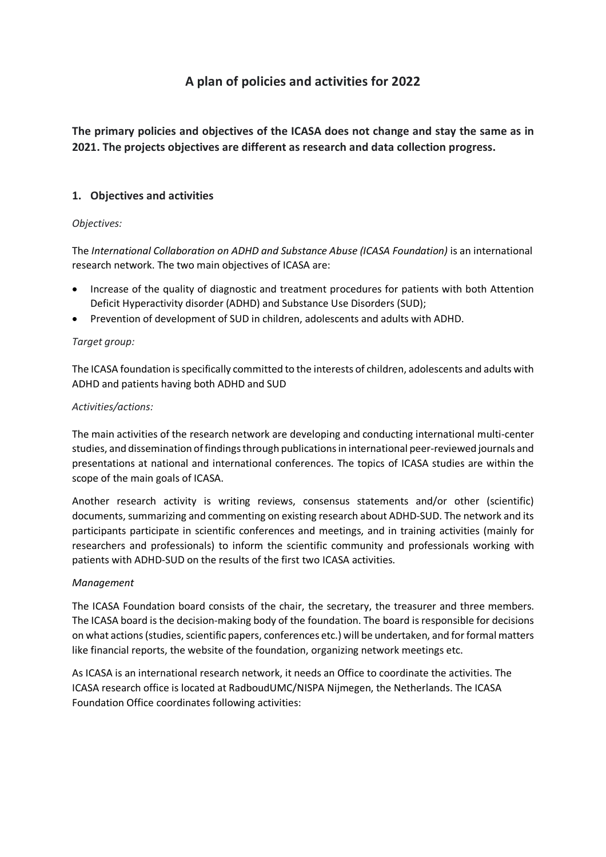# **A plan of policies and activities for 2022**

**The primary policies and objectives of the ICASA does not change and stay the same as in 2021. The projects objectives are different as research and data collection progress.** 

# **1. Objectives and activities**

## *Objectives:*

The *International Collaboration on ADHD and Substance Abuse (ICASA Foundation)* is an international research network. The two main objectives of ICASA are:

- Increase of the quality of diagnostic and treatment procedures for patients with both Attention Deficit Hyperactivity disorder (ADHD) and Substance Use Disorders (SUD);
- Prevention of development of SUD in children, adolescents and adults with ADHD.

## *Target group:*

The ICASA foundation is specifically committed to the interests of children, adolescents and adults with ADHD and patients having both ADHD and SUD

## *Activities/actions:*

The main activities of the research network are developing and conducting international multi-center studies, and dissemination of findings through publications in international peer-reviewed journals and presentations at national and international conferences. The topics of ICASA studies are within the scope of the main goals of ICASA.

Another research activity is writing reviews, consensus statements and/or other (scientific) documents, summarizing and commenting on existing research about ADHD-SUD. The network and its participants participate in scientific conferences and meetings, and in training activities (mainly for researchers and professionals) to inform the scientific community and professionals working with patients with ADHD-SUD on the results of the first two ICASA activities.

## *Management*

The ICASA Foundation board consists of the chair, the secretary, the treasurer and three members. The ICASA board is the decision-making body of the foundation. The board is responsible for decisions on what actions (studies, scientific papers, conferences etc.) will be undertaken, and for formal matters like financial reports, the website of the foundation, organizing network meetings etc.

As ICASA is an international research network, it needs an Office to coordinate the activities. The ICASA research office is located at RadboudUMC/NISPA Nijmegen, the Netherlands. The ICASA Foundation Office coordinates following activities: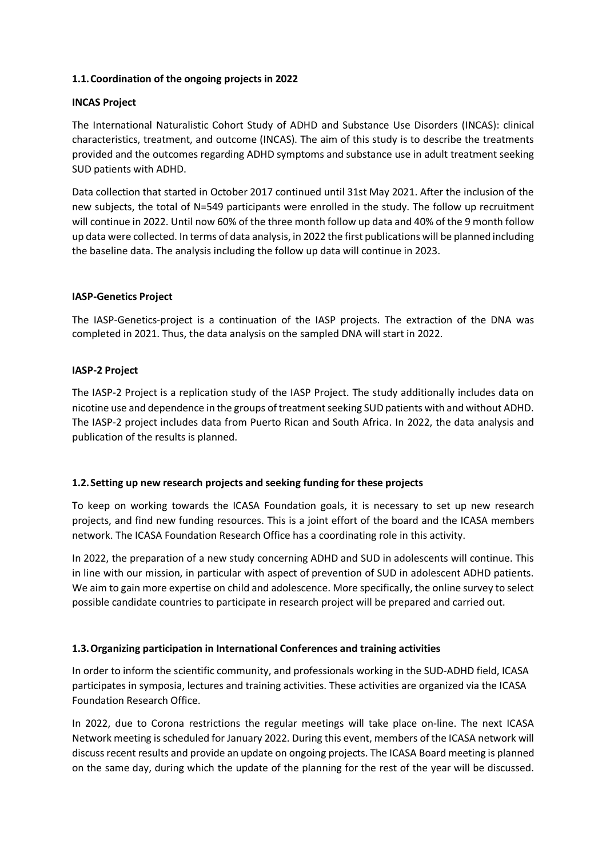## **1.1.Coordination of the ongoing projects in 2022**

## **INCAS Project**

The International Naturalistic Cohort Study of ADHD and Substance Use Disorders (INCAS): clinical characteristics, treatment, and outcome (INCAS). The aim of this study is to describe the treatments provided and the outcomes regarding ADHD symptoms and substance use in adult treatment seeking SUD patients with ADHD.

Data collection that started in October 2017 continued until 31st May 2021. After the inclusion of the new subjects, the total of N=549 participants were enrolled in the study. The follow up recruitment will continue in 2022. Until now 60% of the three month follow up data and 40% of the 9 month follow up data were collected. In terms of data analysis, in 2022 the first publications will be planned including the baseline data. The analysis including the follow up data will continue in 2023.

## **IASP-Genetics Project**

The IASP-Genetics-project is a continuation of the IASP projects. The extraction of the DNA was completed in 2021. Thus, the data analysis on the sampled DNA will start in 2022.

#### **IASP-2 Project**

The IASP-2 Project is a replication study of the IASP Project. The study additionally includes data on nicotine use and dependence in the groups of treatment seeking SUD patients with and without ADHD. The IASP-2 project includes data from Puerto Rican and South Africa. In 2022, the data analysis and publication of the results is planned.

#### **1.2.Setting up new research projects and seeking funding for these projects**

To keep on working towards the ICASA Foundation goals, it is necessary to set up new research projects, and find new funding resources. This is a joint effort of the board and the ICASA members network. The ICASA Foundation Research Office has a coordinating role in this activity.

In 2022, the preparation of a new study concerning ADHD and SUD in adolescents will continue. This in line with our mission, in particular with aspect of prevention of SUD in adolescent ADHD patients. We aim to gain more expertise on child and adolescence. More specifically, the online survey to select possible candidate countries to participate in research project will be prepared and carried out.

## **1.3.Organizing participation in International Conferences and training activities**

In order to inform the scientific community, and professionals working in the SUD-ADHD field, ICASA participates in symposia, lectures and training activities. These activities are organized via the ICASA Foundation Research Office.

In 2022, due to Corona restrictions the regular meetings will take place on-line. The next ICASA Network meeting is scheduled for January 2022. During this event, members of the ICASA network will discuss recent results and provide an update on ongoing projects. The ICASA Board meeting is planned on the same day, during which the update of the planning for the rest of the year will be discussed.